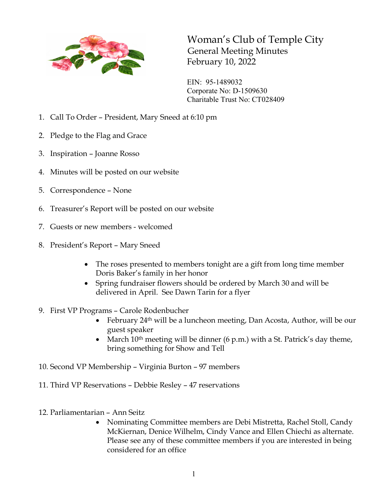

Woman's Club of Temple City General Meeting Minutes February 10, 2022

EIN: 95-1489032 Corporate No: D-1509630 Charitable Trust No: CT028409

- 1. Call To Order President, Mary Sneed at 6:10 pm
- 2. Pledge to the Flag and Grace
- 3. Inspiration Joanne Rosso
- 4. Minutes will be posted on our website
- 5. Correspondence None
- 6. Treasurer's Report will be posted on our website
- 7. Guests or new members welcomed
- 8. President's Report Mary Sneed
	- The roses presented to members tonight are a gift from long time member Doris Baker's family in her honor
	- Spring fundraiser flowers should be ordered by March 30 and will be delivered in April. See Dawn Tarin for a flyer
- 9. First VP Programs Carole Rodenbucher
	- February  $24<sup>th</sup>$  will be a luncheon meeting, Dan Acosta, Author, will be our guest speaker
	- March  $10^{th}$  meeting will be dinner (6 p.m.) with a St. Patrick's day theme, bring something for Show and Tell
- 10. Second VP Membership Virginia Burton 97 members
- 11. Third VP Reservations Debbie Resley 47 reservations
- 12. Parliamentarian Ann Seitz
	- Nominating Committee members are Debi Mistretta, Rachel Stoll, Candy McKiernan, Denice Wilhelm, Cindy Vance and Ellen Chiechi as alternate. Please see any of these committee members if you are interested in being considered for an office